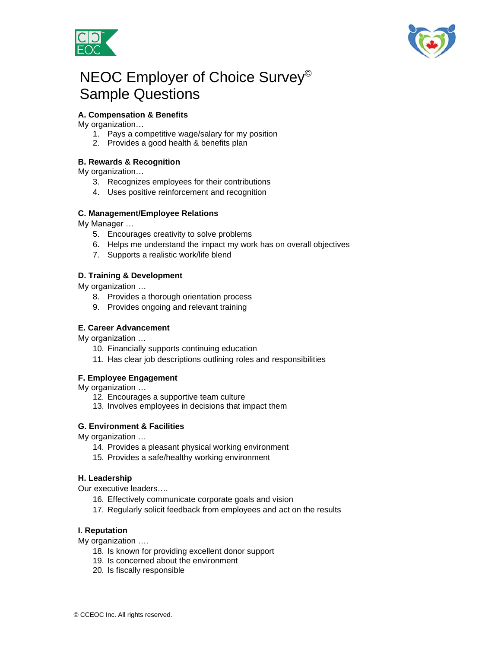



# NEOC Employer of Choice Survey© Sample Questions

## **A. Compensation & Benefits**

My organization…

- 1. Pays a competitive wage/salary for my position
- 2. Provides a good health & benefits plan

#### **B. Rewards & Recognition**

My organization…

- 3. Recognizes employees for their contributions
- 4. Uses positive reinforcement and recognition

#### **C. Management/Employee Relations**

My Manager …

- 5. Encourages creativity to solve problems
- 6. Helps me understand the impact my work has on overall objectives
- 7. Supports a realistic work/life blend

#### **D. Training & Development**

My organization …

- 8. Provides a thorough orientation process
- 9. Provides ongoing and relevant training

#### **E. Career Advancement**

My organization …

- 10. Financially supports continuing education
- 11. Has clear job descriptions outlining roles and responsibilities

#### **F. Employee Engagement**

My organization …

- 12. Encourages a supportive team culture
- 13. Involves employees in decisions that impact them

#### **G. Environment & Facilities**

My organization …

- 14. Provides a pleasant physical working environment
- 15. Provides a safe/healthy working environment

#### **H. Leadership**

Our executive leaders….

- 16. Effectively communicate corporate goals and vision
- 17. Regularly solicit feedback from employees and act on the results

#### **I. Reputation**

My organization ….

- 18. Is known for providing excellent donor support
- 19. Is concerned about the environment
- 20. Is fiscally responsible